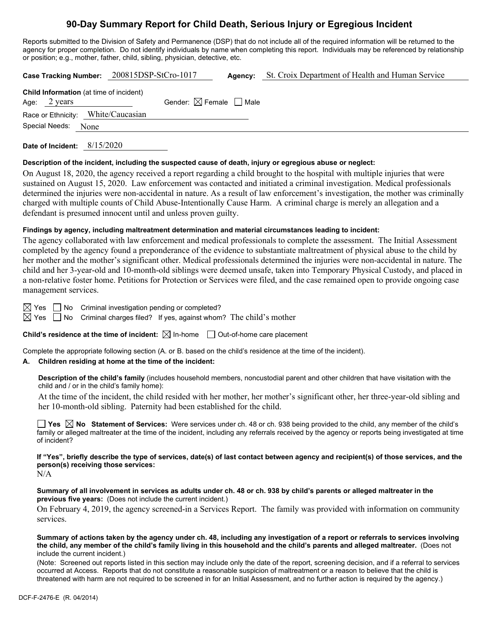# **90-Day Summary Report for Child Death, Serious Injury or Egregious Incident**

Reports submitted to the Division of Safety and Permanence (DSP) that do not include all of the required information will be returned to the agency for proper completion. Do not identify individuals by name when completing this report. Individuals may be referenced by relationship or position; e.g., mother, father, child, sibling, physician, detective, etc.

|                                                                                                                | Case Tracking Number: 200815DSP-StCro-1017 | Agency: | St. Croix Department of Health and Human Service |
|----------------------------------------------------------------------------------------------------------------|--------------------------------------------|---------|--------------------------------------------------|
| <b>Child Information</b> (at time of incident)<br>Age: $2 \text{ years}$<br>Race or Ethnicity: White/Caucasian | Gender: $\boxtimes$ Female $\Box$ Male     |         |                                                  |
| Special Needs:<br>None                                                                                         |                                            |         |                                                  |

**Date of Incident:** 8/15/2020

## **Description of the incident, including the suspected cause of death, injury or egregious abuse or neglect:**

On August 18, 2020, the agency received a report regarding a child brought to the hospital with multiple injuries that were sustained on August 15, 2020. Law enforcement was contacted and initiated a criminal investigation. Medical professionals determined the injuries were non-accidental in nature. As a result of law enforcement's investigation, the mother was criminally charged with multiple counts of Child Abuse-Intentionally Cause Harm. A criminal charge is merely an allegation and a defendant is presumed innocent until and unless proven guilty.

# **Findings by agency, including maltreatment determination and material circumstances leading to incident:**

The agency collaborated with law enforcement and medical professionals to complete the assessment. The Initial Assessment completed by the agency found a preponderance of the evidence to substantiate maltreatment of physical abuse to the child by her mother and the mother's significant other. Medical professionals determined the injuries were non-accidental in nature. The child and her 3-year-old and 10-month-old siblings were deemed unsafe, taken into Temporary Physical Custody, and placed in a non-relative foster home. Petitions for Protection or Services were filed, and the case remained open to provide ongoing case management services.

 $\boxtimes$  Yes  $\Box$  No Criminal investigation pending or completed?

 $\boxtimes$  Yes  $\Box$  No Criminal charges filed? If yes, against whom? The child's mother

**Child's residence at the time of incident:**  $\boxtimes$  In-home  $\Box$  Out-of-home care placement

Complete the appropriate following section (A. or B. based on the child's residence at the time of the incident).

# **A. Children residing at home at the time of the incident:**

**Description of the child's family** (includes household members, noncustodial parent and other children that have visitation with the child and / or in the child's family home):

At the time of the incident, the child resided with her mother, her mother's significant other, her three-year-old sibling and her 10-month-old sibling. Paternity had been established for the child.

**Yes**  $\boxtimes$  **No** Statement of Services: Were services under ch. 48 or ch. 938 being provided to the child, any member of the child's family or alleged maltreater at the time of the incident, including any referrals received by the agency or reports being investigated at time of incident?

**If "Yes", briefly describe the type of services, date(s) of last contact between agency and recipient(s) of those services, and the person(s) receiving those services:** N/A

**Summary of all involvement in services as adults under ch. 48 or ch. 938 by child's parents or alleged maltreater in the previous five years:** (Does not include the current incident.)

On February 4, 2019, the agency screened-in a Services Report. The family was provided with information on community services.

**Summary of actions taken by the agency under ch. 48, including any investigation of a report or referrals to services involving the child, any member of the child's family living in this household and the child's parents and alleged maltreater.** (Does not include the current incident.)

(Note: Screened out reports listed in this section may include only the date of the report, screening decision, and if a referral to services occurred at Access. Reports that do not constitute a reasonable suspicion of maltreatment or a reason to believe that the child is threatened with harm are not required to be screened in for an Initial Assessment, and no further action is required by the agency.)